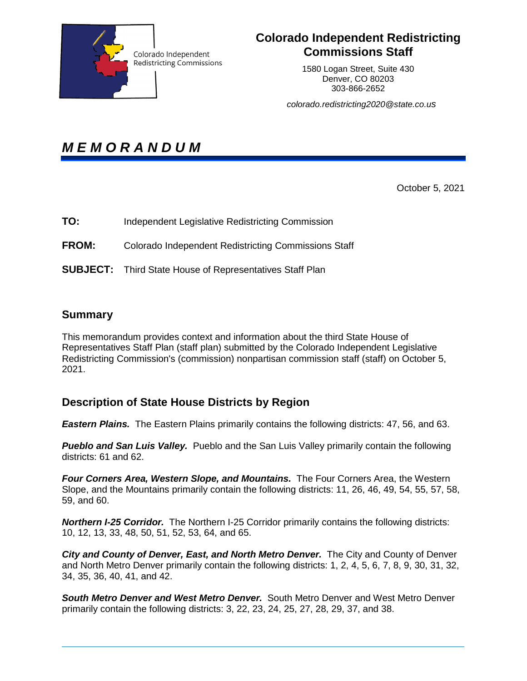

## **Colorado Independent Redistricting Commissions Staff**

1580 Logan Street, Suite 430 Denver, CO 80203 303-866-2652

*colorado.redistricting2020@state.co.us* 

*M E M O R A N D U M* 

October 5, 2021

- **TO:** Independent Legislative Redistricting Commission
- **FROM:** Colorado Independent Redistricting Commissions Staff
- **SUBJECT:** Third State House of Representatives Staff Plan

## **Summary**

This memorandum provides context and information about the third State House of Representatives Staff Plan (staff plan) submitted by the Colorado Independent Legislative Redistricting Commission's (commission) nonpartisan commission staff (staff) on October 5, 2021.

## **Description of State House Districts by Region**

*Eastern Plains.* The Eastern Plains primarily contains the following districts: 47, 56, and 63.

*Pueblo and San Luis Valley.* Pueblo and the San Luis Valley primarily contain the following districts: 61 and 62.

*Four Corners Area, Western Slope, and Mountains.* The Four Corners Area, the Western Slope, and the Mountains primarily contain the following districts: 11, 26, 46, 49, 54, 55, 57, 58, 59, and 60.

**Northern I-25 Corridor.** The Northern I-25 Corridor primarily contains the following districts: 10, 12, 13, 33, 48, 50, 51, 52, 53, 64, and 65.

*City and County of Denver, East, and North Metro Denver.* The City and County of Denver and North Metro Denver primarily contain the following districts: 1, 2, 4, 5, 6, 7, 8, 9, 30, 31, 32, 34, 35, 36, 40, 41, and 42.

**South Metro Denver and West Metro Denver.** South Metro Denver and West Metro Denver primarily contain the following districts: 3, 22, 23, 24, 25, 27, 28, 29, 37, and 38.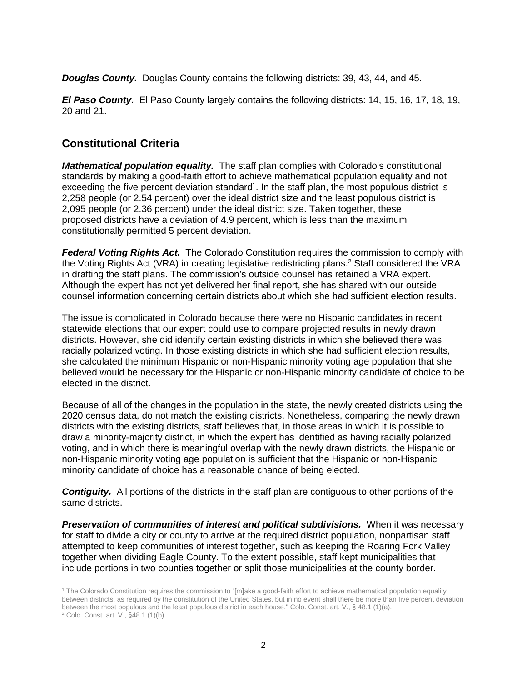*Douglas County.* Douglas County contains the following districts: 39, 43, 44, and 45.

*El Paso County.* El Paso County largely contains the following districts: 14, 15, 16, 17, 18, 19, 20 and 21.

## **Constitutional Criteria**

*Mathematical population equality.* The staff plan complies with Colorado's constitutional standards by making a good-faith effort to achieve mathematical population equality and not exceeding the five percent deviation standard<sup>1</sup>. In the staff plan, the most populous district is 2,258 people (or 2.54 percent) over the ideal district size and the least populous district is 2,095 people (or 2.36 percent) under the ideal district size. Taken together, these proposed districts have a deviation of 4.9 percent, which is less than the maximum constitutionally permitted 5 percent deviation.

*Federal Voting Rights Act.* The Colorado Constitution requires the commission to comply with the Voting Rights Act (VRA) in creating legislative redistricting plans.<sup>2</sup> Staff considered the VRA in drafting the staff plans. The commission's outside counsel has retained a VRA expert. Although the expert has not yet delivered her final report, she has shared with our outside counsel information concerning certain districts about which she had sufficient election results.

The issue is complicated in Colorado because there were no Hispanic candidates in recent statewide elections that our expert could use to compare projected results in newly drawn districts. However, she did identify certain existing districts in which she believed there was racially polarized voting. In those existing districts in which she had sufficient election results, she calculated the minimum Hispanic or non-Hispanic minority voting age population that she believed would be necessary for the Hispanic or non-Hispanic minority candidate of choice to be elected in the district.

Because of all of the changes in the population in the state, the newly created districts using the 2020 census data, do not match the existing districts. Nonetheless, comparing the newly drawn districts with the existing districts, staff believes that, in those areas in which it is possible to draw a minority-majority district, in which the expert has identified as having racially polarized voting, and in which there is meaningful overlap with the newly drawn districts, the Hispanic or non-Hispanic minority voting age population is sufficient that the Hispanic or non-Hispanic minority candidate of choice has a reasonable chance of being elected.

**Contiguity.** All portions of the districts in the staff plan are contiguous to other portions of the same districts.

**Preservation of communities of interest and political subdivisions.** When it was necessary for staff to divide a city or county to arrive at the required district population, nonpartisan staff attempted to keep communities of interest together, such as keeping the Roaring Fork Valley together when dividing Eagle County. To the extent possible, staff kept municipalities that include portions in two counties together or split those municipalities at the county border.

 1 The Colorado Constitution requires the commission to "[m]ake a good-faith effort to achieve mathematical population equality between districts, as required by the constitution of the United States, but in no event shall there be more than five percent deviation between the most populous and the least populous district in each house." Colo. Const. art. V., § 48.1 (1)(a).

<sup>&</sup>lt;sup>2</sup> Colo. Const. art. V., §48.1 (1)(b).